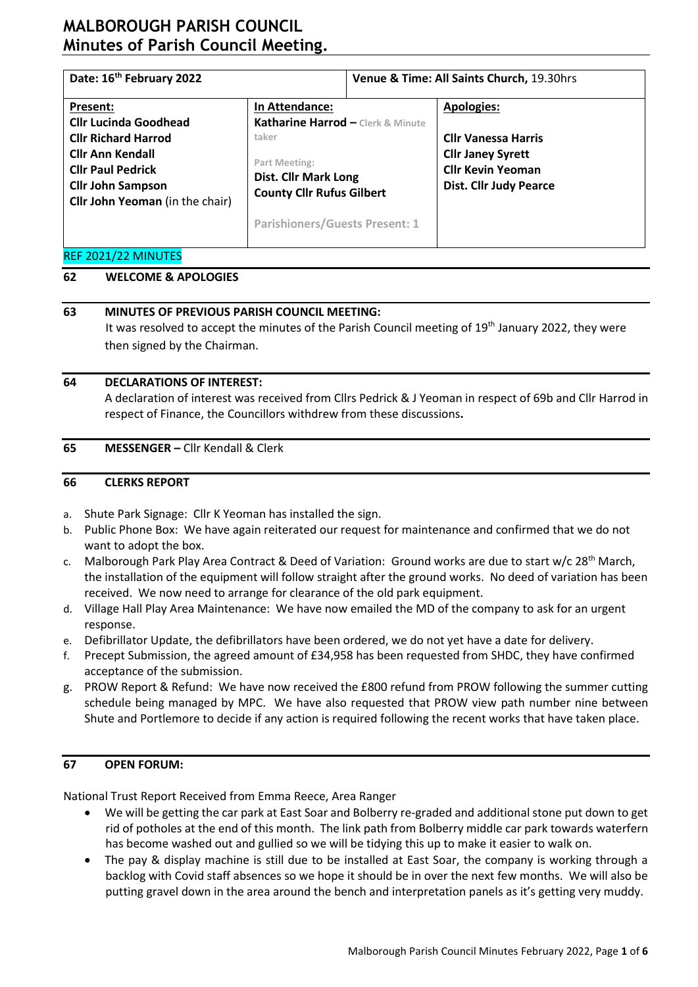# **MALBOROUGH PARISH COUNCIL Minutes of Parish Council Meeting.**

| Date: 16 <sup>th</sup> February 2022                                                                                                                                                         |                                                                                                                                                                                           | Venue & Time: All Saints Church, 19.30hrs |                                                                                                                                          |  |  |
|----------------------------------------------------------------------------------------------------------------------------------------------------------------------------------------------|-------------------------------------------------------------------------------------------------------------------------------------------------------------------------------------------|-------------------------------------------|------------------------------------------------------------------------------------------------------------------------------------------|--|--|
| Present:<br><b>Cllr Lucinda Goodhead</b><br><b>Cllr Richard Harrod</b><br><b>Cllr Ann Kendall</b><br><b>Cllr Paul Pedrick</b><br><b>Cllr John Sampson</b><br>Cllr John Yeoman (in the chair) | In Attendance:<br>Katharine Harrod - Clerk & Minute<br>taker<br>Part Meeting:<br><b>Dist. Cllr Mark Long</b><br><b>County Cllr Rufus Gilbert</b><br><b>Parishioners/Guests Present: 1</b> |                                           | <b>Apologies:</b><br><b>Cllr Vanessa Harris</b><br><b>Cllr Janey Syrett</b><br><b>Cllr Kevin Yeoman</b><br><b>Dist. Cllr Judy Pearce</b> |  |  |
| REF 2021/22 MINUTES                                                                                                                                                                          |                                                                                                                                                                                           |                                           |                                                                                                                                          |  |  |

### **62 WELCOME & APOLOGIES**

### **63 MINUTES OF PREVIOUS PARISH COUNCIL MEETING:**

It was resolved to accept the minutes of the Parish Council meeting of 19<sup>th</sup> January 2022, they were then signed by the Chairman.

### **64 DECLARATIONS OF INTEREST:**

A declaration of interest was received from Cllrs Pedrick & J Yeoman in respect of 69b and Cllr Harrod in respect of Finance, the Councillors withdrew from these discussions**.**

### **65 MESSENGER –** Cllr Kendall & Clerk

### **66 CLERKS REPORT**

- a. Shute Park Signage: Cllr K Yeoman has installed the sign.
- b. Public Phone Box: We have again reiterated our request for maintenance and confirmed that we do not want to adopt the box.
- c. Malborough Park Play Area Contract & Deed of Variation: Ground works are due to start w/c 28<sup>th</sup> March, the installation of the equipment will follow straight after the ground works. No deed of variation has been received. We now need to arrange for clearance of the old park equipment.
- d. Village Hall Play Area Maintenance: We have now emailed the MD of the company to ask for an urgent response.
- e. Defibrillator Update, the defibrillators have been ordered, we do not yet have a date for delivery.
- f. Precept Submission, the agreed amount of £34,958 has been requested from SHDC, they have confirmed acceptance of the submission.
- g. PROW Report & Refund: We have now received the £800 refund from PROW following the summer cutting schedule being managed by MPC. We have also requested that PROW view path number nine between Shute and Portlemore to decide if any action is required following the recent works that have taken place.

### **67 OPEN FORUM:**

National Trust Report Received from Emma Reece, Area Ranger

- We will be getting the car park at East Soar and Bolberry re-graded and additional stone put down to get rid of potholes at the end of this month. The link path from Bolberry middle car park towards waterfern has become washed out and gullied so we will be tidying this up to make it easier to walk on.
- The pay & display machine is still due to be installed at East Soar, the company is working through a backlog with Covid staff absences so we hope it should be in over the next few months. We will also be putting gravel down in the area around the bench and interpretation panels as it's getting very muddy.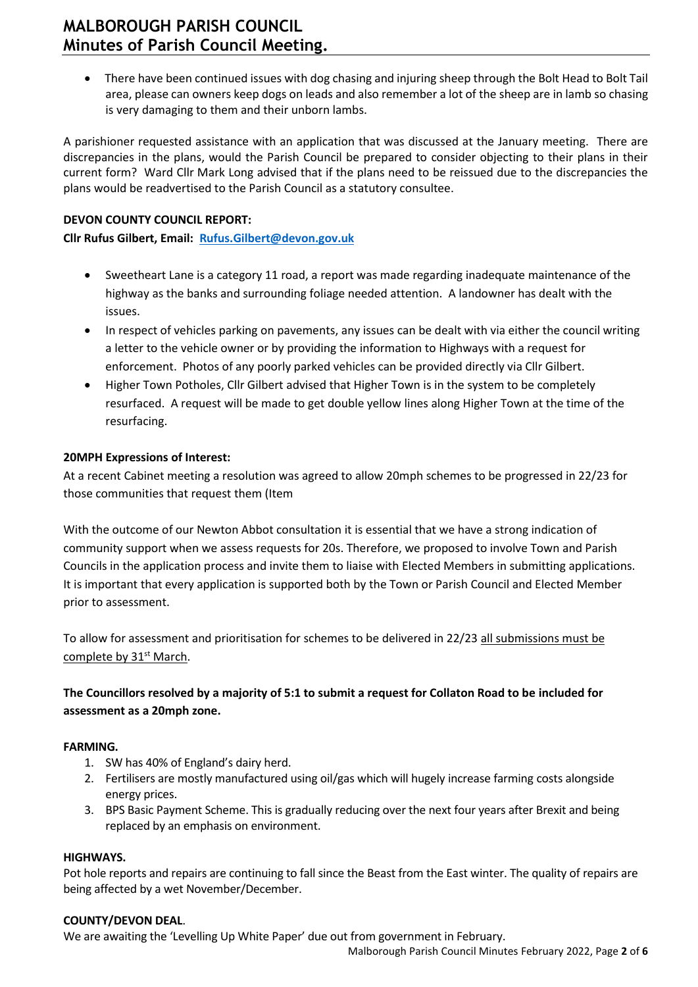# **MALBOROUGH PARISH COUNCIL Minutes of Parish Council Meeting.**

• There have been continued issues with dog chasing and injuring sheep through the Bolt Head to Bolt Tail area, please can owners keep dogs on leads and also remember a lot of the sheep are in lamb so chasing is very damaging to them and their unborn lambs.

A parishioner requested assistance with an application that was discussed at the January meeting. There are discrepancies in the plans, would the Parish Council be prepared to consider objecting to their plans in their current form? Ward Cllr Mark Long advised that if the plans need to be reissued due to the discrepancies the plans would be readvertised to the Parish Council as a statutory consultee.

#### **DEVON COUNTY COUNCIL REPORT:**

**Cllr Rufus Gilbert, Email: [Rufus.Gilbert@devon.gov.uk](mailto:Rufus.Gilbert@devon.gov.uk)**

- Sweetheart Lane is a category 11 road, a report was made regarding inadequate maintenance of the highway as the banks and surrounding foliage needed attention. A landowner has dealt with the issues.
- In respect of vehicles parking on pavements, any issues can be dealt with via either the council writing a letter to the vehicle owner or by providing the information to Highways with a request for enforcement. Photos of any poorly parked vehicles can be provided directly via Cllr Gilbert.
- Higher Town Potholes, Cllr Gilbert advised that Higher Town is in the system to be completely resurfaced. A request will be made to get double yellow lines along Higher Town at the time of the resurfacing.

#### **20MPH Expressions of Interest:**

At a recent Cabinet meeting a resolution was agreed to allow 20mph schemes to be progressed in 22/23 for those communities that request them (Item

With the outcome of our Newton Abbot consultation it is essential that we have a strong indication of community support when we assess requests for 20s. Therefore, we proposed to involve Town and Parish Councils in the application process and invite them to liaise with Elected Members in submitting applications. It is important that every application is supported both by the Town or Parish Council and Elected Member prior to assessment.

To allow for assessment and prioritisation for schemes to be delivered in 22/23 all submissions must be complete by 31<sup>st</sup> March.

### **The Councillors resolved by a majority of 5:1 to submit a request for Collaton Road to be included for assessment as a 20mph zone.**

#### **FARMING.**

- 1. SW has 40% of England's dairy herd.
- 2. Fertilisers are mostly manufactured using oil/gas which will hugely increase farming costs alongside energy prices.
- 3. BPS Basic Payment Scheme. This is gradually reducing over the next four years after Brexit and being replaced by an emphasis on environment.

#### **HIGHWAYS.**

Pot hole reports and repairs are continuing to fall since the Beast from the East winter. The quality of repairs are being affected by a wet November/December.

#### **COUNTY/DEVON DEAL**.

We are awaiting the 'Levelling Up White Paper' due out from government in February.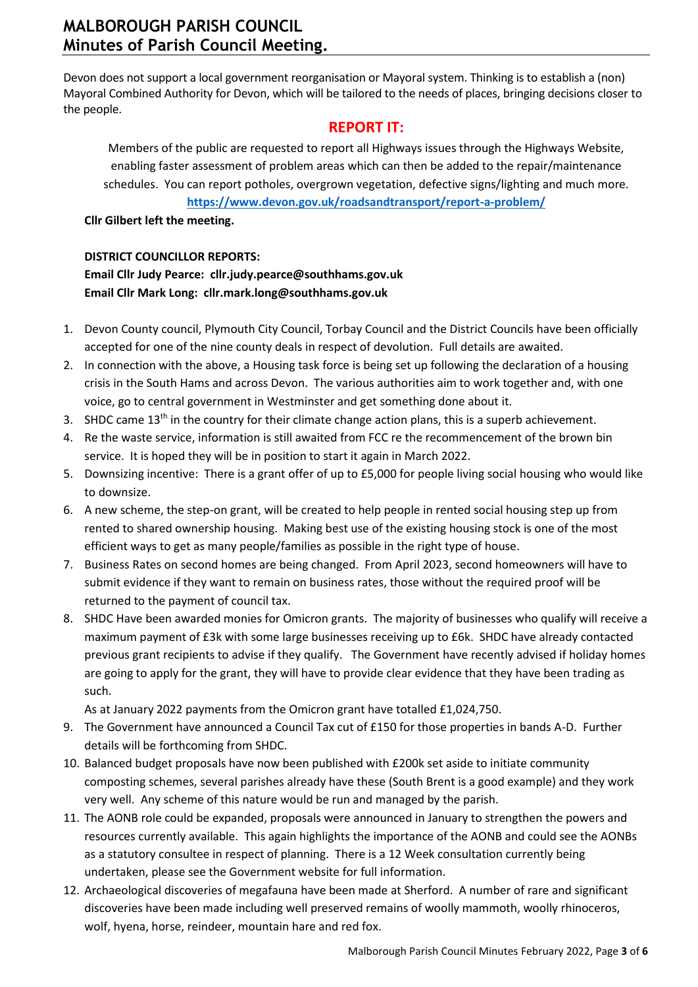Devon does not support a local government reorganisation or Mayoral system. Thinking is to establish a (non) Mayoral Combined Authority for Devon, which will be tailored to the needs of places, bringing decisions closer to the people.

### **REPORT IT:**

Members of the public are requested to report all Highways issues through the Highways Website, enabling faster assessment of problem areas which can then be added to the repair/maintenance schedules. You can report potholes, overgrown vegetation, defective signs/lighting and much more.

**<https://www.devon.gov.uk/roadsandtransport/report-a-problem/>**

**Cllr Gilbert left the meeting.**

#### **DISTRICT COUNCILLOR REPORTS:**

### **Email Cllr Judy Pearce: [cllr.judy.pearce@southhams.gov.uk](file:///C:/Users/katha/Downloads/cllr.judy.pearce@southhams.gov.uk) Email Cllr Mark Long: [cllr.mark.long@southhams.gov.uk](mailto:cllr.mark.long@southhams.gov.uk)**

- 1. Devon County council, Plymouth City Council, Torbay Council and the District Councils have been officially accepted for one of the nine county deals in respect of devolution. Full details are awaited.
- 2. In connection with the above, a Housing task force is being set up following the declaration of a housing crisis in the South Hams and across Devon. The various authorities aim to work together and, with one voice, go to central government in Westminster and get something done about it.
- 3. SHDC came  $13<sup>th</sup>$  in the country for their climate change action plans, this is a superb achievement.
- 4. Re the waste service, information is still awaited from FCC re the recommencement of the brown bin service. It is hoped they will be in position to start it again in March 2022.
- 5. Downsizing incentive: There is a grant offer of up to £5,000 for people living social housing who would like to downsize.
- 6. A new scheme, the step-on grant, will be created to help people in rented social housing step up from rented to shared ownership housing. Making best use of the existing housing stock is one of the most efficient ways to get as many people/families as possible in the right type of house.
- 7. Business Rates on second homes are being changed. From April 2023, second homeowners will have to submit evidence if they want to remain on business rates, those without the required proof will be returned to the payment of council tax.
- 8. SHDC Have been awarded monies for Omicron grants. The majority of businesses who qualify will receive a maximum payment of £3k with some large businesses receiving up to £6k. SHDC have already contacted previous grant recipients to advise if they qualify. The Government have recently advised if holiday homes are going to apply for the grant, they will have to provide clear evidence that they have been trading as such.

As at January 2022 payments from the Omicron grant have totalled £1,024,750.

- 9. The Government have announced a Council Tax cut of £150 for those properties in bands A-D. Further details will be forthcoming from SHDC.
- 10. Balanced budget proposals have now been published with £200k set aside to initiate community composting schemes, several parishes already have these (South Brent is a good example) and they work very well. Any scheme of this nature would be run and managed by the parish.
- 11. The AONB role could be expanded, proposals were announced in January to strengthen the powers and resources currently available. This again highlights the importance of the AONB and could see the AONBs as a statutory consultee in respect of planning. There is a 12 Week consultation currently being undertaken, please see the Government website for full information.
- 12. Archaeological discoveries of megafauna have been made at Sherford. A number of rare and significant discoveries have been made including well preserved remains of woolly mammoth, woolly rhinoceros, wolf, hyena, horse, reindeer, mountain hare and red fox.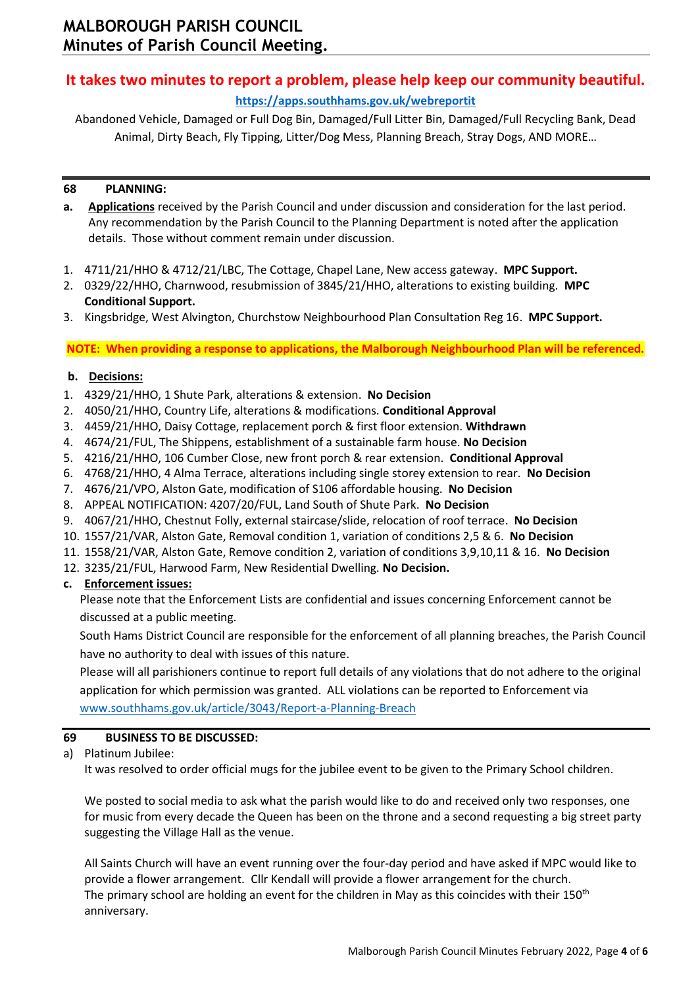# **It takes two minutes to report a problem, please help keep our community beautiful.**

### **<https://apps.southhams.gov.uk/webreportit>**

Abandoned Vehicle, Damaged or Full Dog Bin, Damaged/Full Litter Bin, Damaged/Full Recycling Bank, Dead Animal, Dirty Beach, Fly Tipping, Litter/Dog Mess, Planning Breach, Stray Dogs, AND MORE…

#### **68 PLANNING:**

- **a. Applications** received by the Parish Council and under discussion and consideration for the last period. Any recommendation by the Parish Council to the Planning Department is noted after the application details. Those without comment remain under discussion.
- 1. 4711/21/HHO & 4712/21/LBC, The Cottage, Chapel Lane, New access gateway. **MPC Support.**
- 2. 0329/22/HHO, Charnwood, resubmission of 3845/21/HHO, alterations to existing building. **MPC Conditional Support.**
- 3. Kingsbridge, West Alvington, Churchstow Neighbourhood Plan Consultation Reg 16. **MPC Support.**

**NOTE: When providing a response to applications, the Malborough Neighbourhood Plan will be referenced.**

#### **b. Decisions:**

- 1. 4329/21/HHO, 1 Shute Park, alterations & extension. **No Decision**
- 2. 4050/21/HHO, Country Life, alterations & modifications. **Conditional Approval**
- 3. 4459/21/HHO, Daisy Cottage, replacement porch & first floor extension. **Withdrawn**
- 4. 4674/21/FUL, The Shippens, establishment of a sustainable farm house. **No Decision**
- 5. 4216/21/HHO, 106 Cumber Close, new front porch & rear extension. **Conditional Approval**
- 6. 4768/21/HHO, 4 Alma Terrace, alterations including single storey extension to rear. **No Decision**
- 7. 4676/21/VPO, Alston Gate, modification of S106 affordable housing. **No Decision**
- 8. APPEAL NOTIFICATION: 4207/20/FUL, Land South of Shute Park. **No Decision**
- 9. 4067/21/HHO, Chestnut Folly, external staircase/slide, relocation of roof terrace. **No Decision**
- 10. 1557/21/VAR, Alston Gate, Removal condition 1, variation of conditions 2,5 & 6. **No Decision**
- 11. 1558/21/VAR, Alston Gate, Remove condition 2, variation of conditions 3,9,10,11 & 16. **No Decision**
- 12. 3235/21/FUL, Harwood Farm, New Residential Dwelling. **No Decision.**

#### **c. Enforcement issues:**

Please note that the Enforcement Lists are confidential and issues concerning Enforcement cannot be discussed at a public meeting.

South Hams District Council are responsible for the enforcement of all planning breaches, the Parish Council have no authority to deal with issues of this nature.

Please will all parishioners continue to report full details of any violations that do not adhere to the original application for which permission was granted. ALL violations can be reported to Enforcement via [www.southhams.gov.uk/article/3043/Report-a-Planning-Breach](http://www.southhams.gov.uk/article/3043/Report-a-Planning-Breach)

#### **69 BUSINESS TO BE DISCUSSED:**

a) Platinum Jubilee:

It was resolved to order official mugs for the jubilee event to be given to the Primary School children.

We posted to social media to ask what the parish would like to do and received only two responses, one for music from every decade the Queen has been on the throne and a second requesting a big street party suggesting the Village Hall as the venue.

All Saints Church will have an event running over the four-day period and have asked if MPC would like to provide a flower arrangement. Cllr Kendall will provide a flower arrangement for the church. The primary school are holding an event for the children in May as this coincides with their 150<sup>th</sup> anniversary.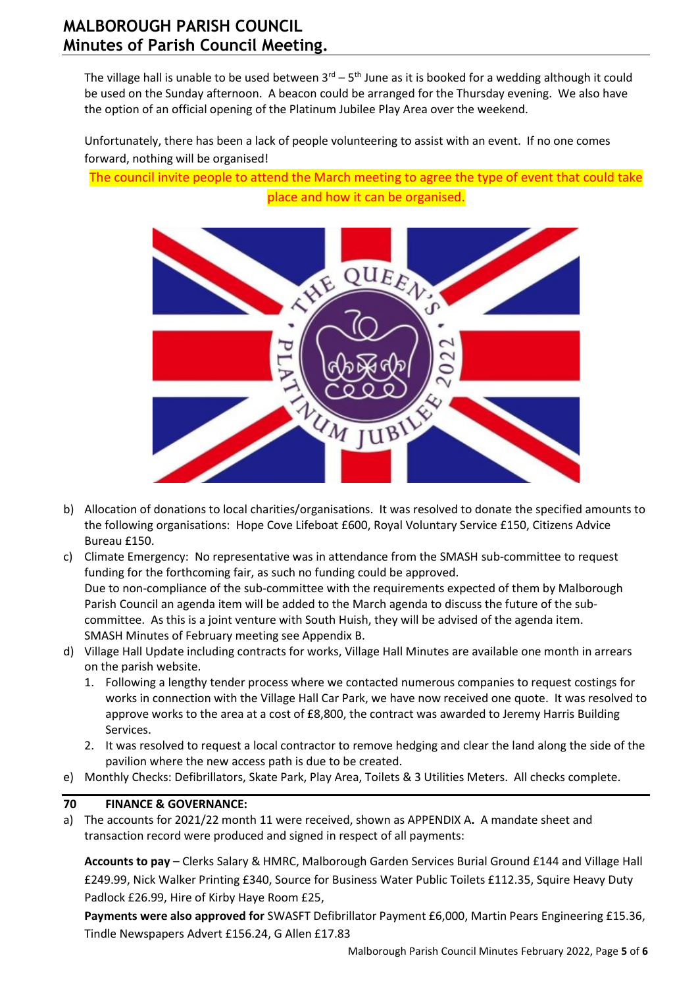The village hall is unable to be used between  $3^{\text{rd}} - 5^{\text{th}}$  June as it is booked for a wedding although it could be used on the Sunday afternoon. A beacon could be arranged for the Thursday evening. We also have the option of an official opening of the Platinum Jubilee Play Area over the weekend.

Unfortunately, there has been a lack of people volunteering to assist with an event. If no one comes forward, nothing will be organised!

The council invite people to attend the March meeting to agree the type of event that could take place and how it can be organised.



- b) Allocation of donations to local charities/organisations. It was resolved to donate the specified amounts to the following organisations: Hope Cove Lifeboat £600, Royal Voluntary Service £150, Citizens Advice Bureau £150.
- c) Climate Emergency: No representative was in attendance from the SMASH sub-committee to request funding for the forthcoming fair, as such no funding could be approved. Due to non-compliance of the sub-committee with the requirements expected of them by Malborough Parish Council an agenda item will be added to the March agenda to discuss the future of the subcommittee. As this is a joint venture with South Huish, they will be advised of the agenda item. SMASH Minutes of February meeting see Appendix B.
- d) Village Hall Update including contracts for works, Village Hall Minutes are available one month in arrears on the parish website.
	- 1. Following a lengthy tender process where we contacted numerous companies to request costings for works in connection with the Village Hall Car Park, we have now received one quote. It was resolved to approve works to the area at a cost of £8,800, the contract was awarded to Jeremy Harris Building Services.
	- 2. It was resolved to request a local contractor to remove hedging and clear the land along the side of the pavilion where the new access path is due to be created.
- e) Monthly Checks: Defibrillators, Skate Park, Play Area, Toilets & 3 Utilities Meters. All checks complete.

### **70 FINANCE & GOVERNANCE:**

a) The accounts for 2021/22 month 11 were received, shown as APPENDIX A**.** A mandate sheet and transaction record were produced and signed in respect of all payments:

**Accounts to pay** – Clerks Salary & HMRC, Malborough Garden Services Burial Ground £144 and Village Hall £249.99, Nick Walker Printing £340, Source for Business Water Public Toilets £112.35, Squire Heavy Duty Padlock £26.99, Hire of Kirby Haye Room £25,

**Payments were also approved for** SWASFT Defibrillator Payment £6,000, Martin Pears Engineering £15.36, Tindle Newspapers Advert £156.24, G Allen £17.83